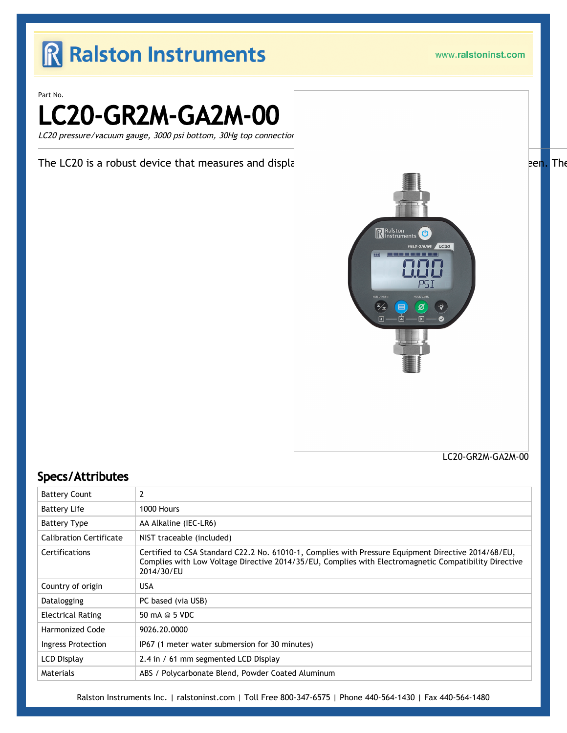### R Ralston Instruments

www.ralstoninst.com

Part No.

LC20-GR2M-GA2M-00

LC20 pressure/vacuum gauge, 3000 psi bottom, 30Hg top connection

The LC20 is a robust device that measures and displant and the state of the state of the state of the state of the state of the state of the state of the state of the state of the state of the state of the state of the sta



LC20-GR2M-GA2M-00

#### Specs/Attributes

| <b>Battery Count</b>           | 2                                                                                                                                                                                                                          |
|--------------------------------|----------------------------------------------------------------------------------------------------------------------------------------------------------------------------------------------------------------------------|
| <b>Battery Life</b>            | 1000 Hours                                                                                                                                                                                                                 |
| <b>Battery Type</b>            | AA Alkaline (IEC-LR6)                                                                                                                                                                                                      |
| <b>Calibration Certificate</b> | NIST traceable (included)                                                                                                                                                                                                  |
| <b>Certifications</b>          | Certified to CSA Standard C22.2 No. 61010-1, Complies with Pressure Equipment Directive 2014/68/EU,<br>Complies with Low Voltage Directive 2014/35/EU, Complies with Electromagnetic Compatibility Directive<br>2014/30/EU |
| Country of origin              | <b>USA</b>                                                                                                                                                                                                                 |
| Datalogging                    | PC based (via USB)                                                                                                                                                                                                         |
| <b>Electrical Rating</b>       | 50 mA @ 5 VDC                                                                                                                                                                                                              |
| Harmonized Code                | 9026.20.0000                                                                                                                                                                                                               |
| Ingress Protection             | IP67 (1 meter water submersion for 30 minutes)                                                                                                                                                                             |
| <b>LCD Display</b>             | 2.4 in / 61 mm segmented LCD Display                                                                                                                                                                                       |
| Materials                      | ABS / Polycarbonate Blend, Powder Coated Aluminum                                                                                                                                                                          |

Ralston Instruments Inc. | [ralstoninst.com](https://www.ralstoninst.com) | Toll Free 800-347-6575 | Phone 440-564-1430 | Fax 440-564-1480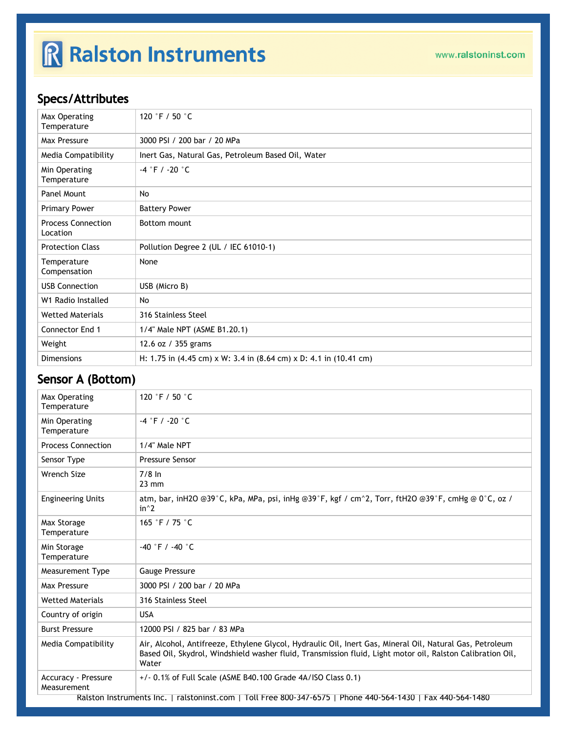## R Ralston Instruments

#### Specs/Attributes

| Max Operating<br>Temperature          | 120 °F / 50 $^{\circ}$ C                                                                                    |
|---------------------------------------|-------------------------------------------------------------------------------------------------------------|
| Max Pressure                          | 3000 PSI / 200 bar / 20 MPa                                                                                 |
| Media Compatibility                   | Inert Gas, Natural Gas, Petroleum Based Oil, Water                                                          |
| Min Operating<br>Temperature          | $-4$ °F / -20 °C                                                                                            |
| Panel Mount                           | <b>No</b>                                                                                                   |
| <b>Primary Power</b>                  | <b>Battery Power</b>                                                                                        |
| <b>Process Connection</b><br>Location | Bottom mount                                                                                                |
| <b>Protection Class</b>               | Pollution Degree 2 (UL / IEC 61010-1)                                                                       |
| Temperature<br>Compensation           | None                                                                                                        |
| <b>USB Connection</b>                 | USB (Micro B)                                                                                               |
| W1 Radio Installed                    | No                                                                                                          |
| <b>Wetted Materials</b>               | 316 Stainless Steel                                                                                         |
| Connector End 1                       | 1/4" Male NPT (ASME B1.20.1)                                                                                |
| Weight                                | 12.6 oz / 355 grams                                                                                         |
| <b>Dimensions</b>                     | H: 1.75 in $(4.45 \text{ cm}) \times W$ : 3.4 in $(8.64 \text{ cm}) \times D$ : 4.1 in $(10.41 \text{ cm})$ |

### Sensor A (Bottom)

| Max Operating<br>Temperature                                                                                | 120 °F / 50 $^{\circ}$ C                                                                                                                                                                                                        |  |
|-------------------------------------------------------------------------------------------------------------|---------------------------------------------------------------------------------------------------------------------------------------------------------------------------------------------------------------------------------|--|
| Min Operating<br>Temperature                                                                                | $-4$ °F / -20 °C                                                                                                                                                                                                                |  |
| <b>Process Connection</b>                                                                                   | 1/4" Male NPT                                                                                                                                                                                                                   |  |
| Sensor Type                                                                                                 | <b>Pressure Sensor</b>                                                                                                                                                                                                          |  |
| Wrench Size                                                                                                 | $7/8$ In<br>$23 \text{ mm}$                                                                                                                                                                                                     |  |
| <b>Engineering Units</b>                                                                                    | atm, bar, inH2O @39°C, kPa, MPa, psi, inHg @39°F, kgf / cm^2, Torr, ftH2O @39°F, cmHg @ 0°C, oz /<br>$in^2$                                                                                                                     |  |
| Max Storage<br>Temperature                                                                                  | 165 °F / 75 °C                                                                                                                                                                                                                  |  |
| Min Storage<br>Temperature                                                                                  | $-40$ °F / $-40$ °C                                                                                                                                                                                                             |  |
| Measurement Type                                                                                            | <b>Gauge Pressure</b>                                                                                                                                                                                                           |  |
| Max Pressure                                                                                                | 3000 PSI / 200 bar / 20 MPa                                                                                                                                                                                                     |  |
| <b>Wetted Materials</b>                                                                                     | 316 Stainless Steel                                                                                                                                                                                                             |  |
| Country of origin                                                                                           | <b>USA</b>                                                                                                                                                                                                                      |  |
| <b>Burst Pressure</b>                                                                                       | 12000 PSI / 825 bar / 83 MPa                                                                                                                                                                                                    |  |
| Media Compatibility                                                                                         | Air, Alcohol, Antifreeze, Ethylene Glycol, Hydraulic Oil, Inert Gas, Mineral Oil, Natural Gas, Petroleum<br>Based Oil, Skydrol, Windshield washer fluid, Transmission fluid, Light motor oil, Ralston Calibration Oil,<br>Water |  |
| <b>Accuracy - Pressure</b><br>Measurement                                                                   | $+/-$ 0.1% of Full Scale (ASME B40.100 Grade 4A/ISO Class 0.1)                                                                                                                                                                  |  |
| Ralston Instruments Inc.   ralstoninst.com   Toll Free 800-347-6575   Phone 440-564-1430   Fax 440-564-1480 |                                                                                                                                                                                                                                 |  |